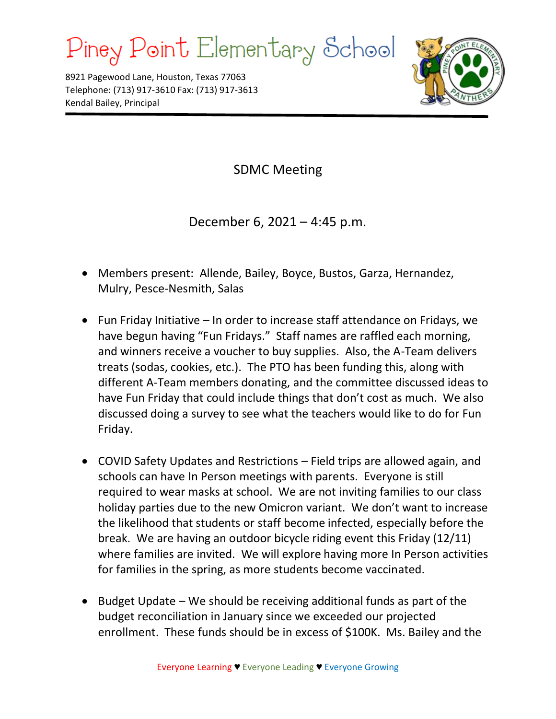## Piney Point Elementary School

8921 Pagewood Lane, Houston, Texas 77063 Telephone: (713) 917-3610 Fax: (713) 917-3613 Kendal Bailey, Principal



SDMC Meeting

December 6, 2021 – 4:45 p.m.

- Members present: Allende, Bailey, Boyce, Bustos, Garza, Hernandez, Mulry, Pesce-Nesmith, Salas
- Fun Friday Initiative In order to increase staff attendance on Fridays, we have begun having "Fun Fridays." Staff names are raffled each morning, and winners receive a voucher to buy supplies. Also, the A-Team delivers treats (sodas, cookies, etc.). The PTO has been funding this, along with different A-Team members donating, and the committee discussed ideas to have Fun Friday that could include things that don't cost as much. We also discussed doing a survey to see what the teachers would like to do for Fun Friday.
- COVID Safety Updates and Restrictions Field trips are allowed again, and schools can have In Person meetings with parents. Everyone is still required to wear masks at school. We are not inviting families to our class holiday parties due to the new Omicron variant. We don't want to increase the likelihood that students or staff become infected, especially before the break. We are having an outdoor bicycle riding event this Friday (12/11) where families are invited. We will explore having more In Person activities for families in the spring, as more students become vaccinated.
- Budget Update We should be receiving additional funds as part of the budget reconciliation in January since we exceeded our projected enrollment. These funds should be in excess of \$100K. Ms. Bailey and the